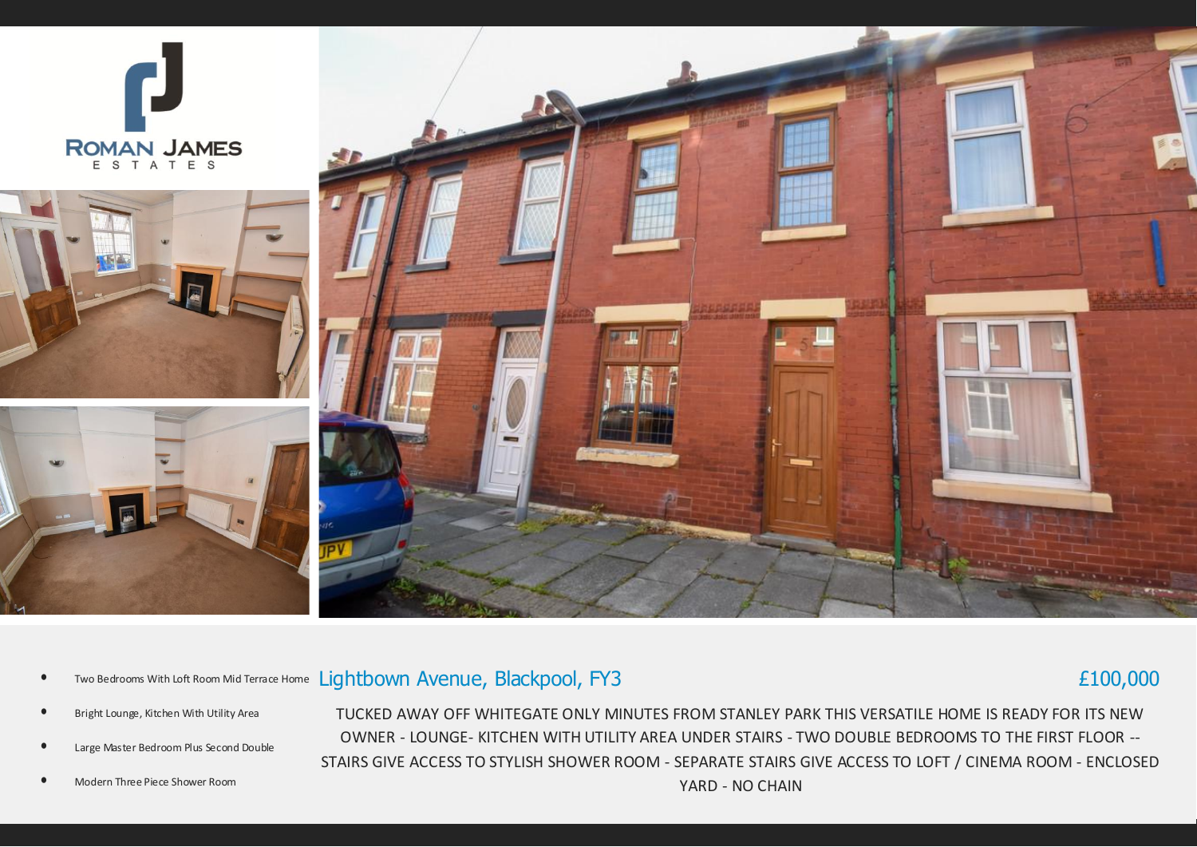







## • Two Bedrooms With Loft Room Mid Terrace Home Lightbown Avenue, Blackpool, FY3

# £100,000

- Bright Lounge, Kitchen With Utility Area
- Large Master Bedroom Plus Second Double
- Modern Three Piece Shower Room

TUCKED AWAY OFF WHITEGATE ONLY MINUTES FROM STANLEY PARK THIS VERSATILE HOME IS READY FOR ITS NEW OWNER - LOUNGE- KITCHEN WITH UTILITY AREA UNDER STAIRS - TWO DOUBLE BEDROOMS TO THE FIRST FLOOR -- STAIRS GIVE ACCESS TO STYLISH SHOWER ROOM - SEPARATE STAIRS GIVE ACCESS TO LOFT / CINEMA ROOM - ENCLOSED YARD - NO CHAIN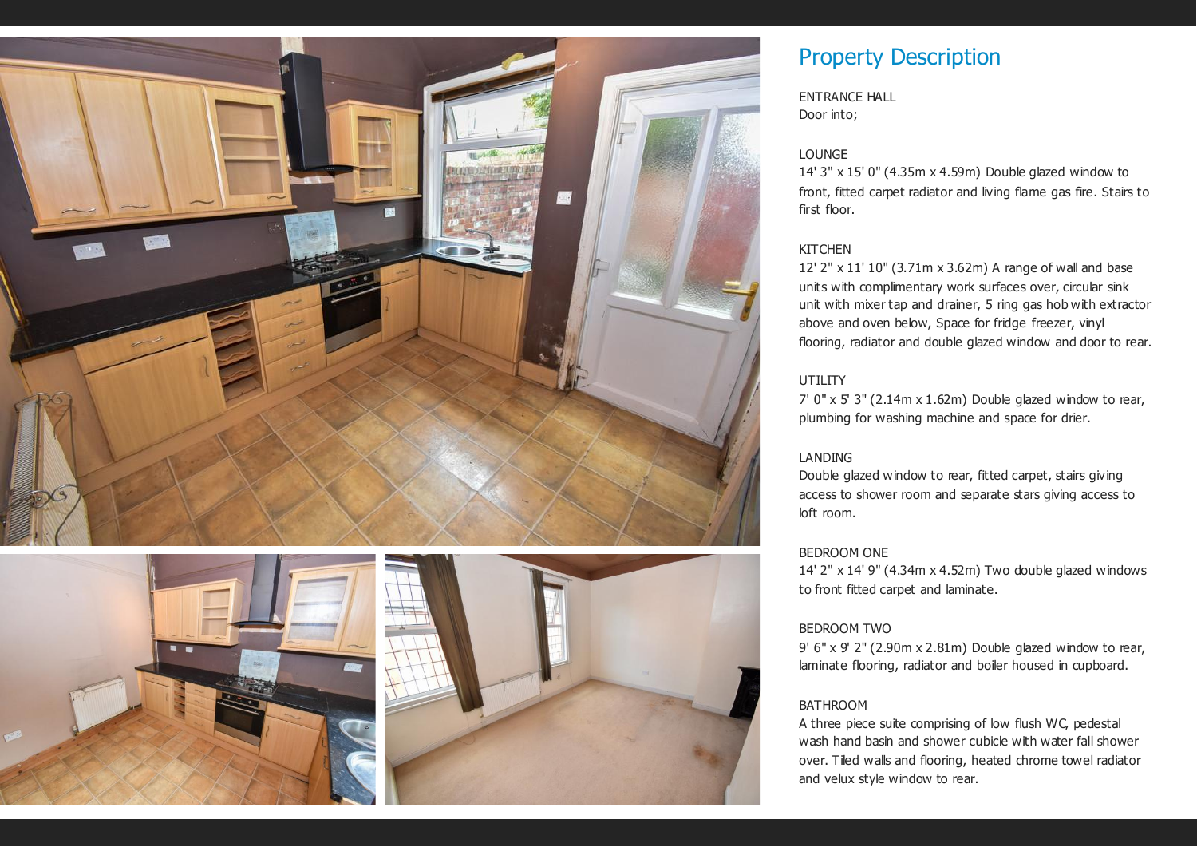



# Property Description

ENTRANCE HALL Door into;

#### LOUNGE

14' 3" x 15' 0" (4.35m x 4.59m) Double glazed window to front, fitted carpet radiator and living flame gas fire. Stairs to first floor.

#### **KITCHEN**

12' 2" x 11' 10" (3.71m x 3.62m) A range of wall and base units with complimentary work surfaces over, circular sink unit with mixer tap and drainer, 5 ring gas hob with extractor above and oven below, Space for fridge freezer, vinyl flooring, radiator and double glazed window and door to rear.

### UTILITY

7' 0" x 5' 3" (2.14m x 1.62m) Double glazed window to rear, plumbing for washing machine and space for drier.

#### LANDING

Double glazed window to rear, fitted carpet, stairs giving access to shower room and separate stars giving access to loft room.

#### BEDROOM ONE

14' 2" x 14' 9" (4.34m x 4.52m) Two double glazed windows to front fitted carpet and laminate.

#### BEDROOM TWO

9' 6" x 9' 2" (2.90m x 2.81m) Double glazed window to rear, laminate flooring, radiator and boiler housed in cupboard.

#### BATHROOM

A three piece suite comprising of low flush WC, pedestal wash hand basin and shower cubicle with water fall shower over. Tiled walls and flooring, heated chrome towel radiator and velux style window to rear.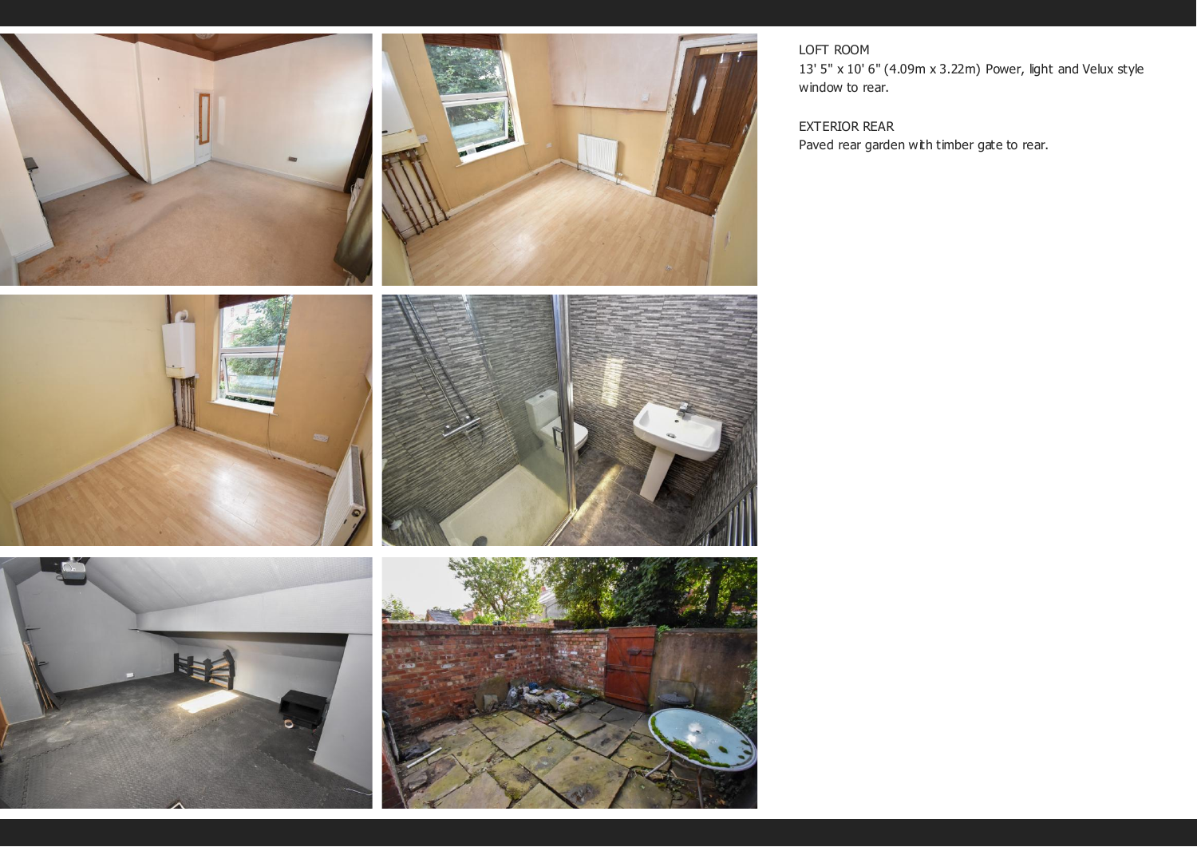

### LOFT ROOM

13' 5" x 10' 6" (4.09m x 3.22m) Power, light and Velux style window to rear.

### EXTERIOR REAR

Paved rear garden with timber gate to rear.